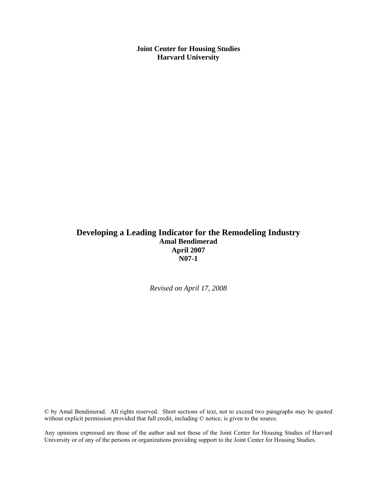**Joint Center for Housing Studies Harvard University** 

### **Developing a Leading Indicator for the Remodeling Industry Amal Bendimerad April 2007 N07-1**

*Revised on April 17, 2008* 

© by Amal Bendimerad. All rights reserved. Short sections of text, not to exceed two paragraphs may be quoted without explicit permission provided that full credit, including  $\heartsuit$  notice, is given to the source.

Any opinions expressed are those of the author and not those of the Joint Center for Housing Studies of Harvard University or of any of the persons or organizations providing support to the Joint Center for Housing Studies.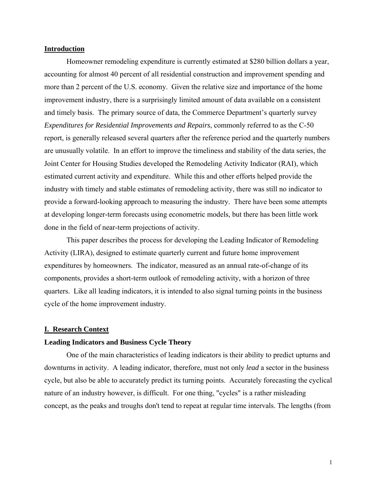### **Introduction**

Homeowner remodeling expenditure is currently estimated at \$280 billion dollars a year, accounting for almost 40 percent of all residential construction and improvement spending and more than 2 percent of the U.S. economy. Given the relative size and importance of the home improvement industry, there is a surprisingly limited amount of data available on a consistent and timely basis. The primary source of data, the Commerce Department's quarterly survey *Expenditures for Residential Improvements and Repairs*, commonly referred to as the C-50 report, is generally released several quarters after the reference period and the quarterly numbers are unusually volatile. In an effort to improve the timeliness and stability of the data series, the Joint Center for Housing Studies developed the Remodeling Activity Indicator (RAI), which estimated current activity and expenditure. While this and other efforts helped provide the industry with timely and stable estimates of remodeling activity, there was still no indicator to provide a forward-looking approach to measuring the industry. There have been some attempts at developing longer-term forecasts using econometric models, but there has been little work done in the field of near-term projections of activity.

This paper describes the process for developing the Leading Indicator of Remodeling Activity (LIRA), designed to estimate quarterly current and future home improvement expenditures by homeowners. The indicator, measured as an annual rate-of-change of its components, provides a short-term outlook of remodeling activity, with a horizon of three quarters. Like all leading indicators, it is intended to also signal turning points in the business cycle of the home improvement industry.

### **I. Research Context**

### **Leading Indicators and Business Cycle Theory**

One of the main characteristics of leading indicators is their ability to predict upturns and downturns in activity. A leading indicator, therefore, must not only *lead* a sector in the business cycle, but also be able to accurately predict its turning points. Accurately forecasting the cyclical nature of an industry however, is difficult. For one thing, "cycles" is a rather misleading concept, as the peaks and troughs don't tend to repeat at regular time intervals. The lengths (from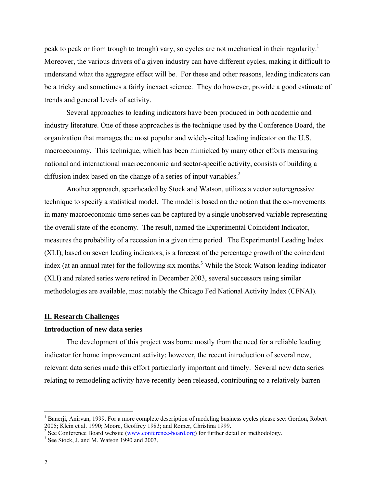peak to peak or from trough to trough) vary, so cycles are not mechanical in their regularity.<sup>1</sup> Moreover, the various drivers of a given industry can have different cycles, making it difficult to understand what the aggregate effect will be. For these and other reasons, leading indicators can be a tricky and sometimes a fairly inexact science. They do however, provide a good estimate of trends and general levels of activity.

Several approaches to leading indicators have been produced in both academic and industry literature. One of these approaches is the technique used by the Conference Board, the organization that manages the most popular and widely-cited leading indicator on the U.S. macroeconomy. This technique, which has been mimicked by many other efforts measuring national and international macroeconomic and sector-specific activity, consists of building a diffusion index based on the change of a series of input variables. $2$ 

Another approach, spearheaded by Stock and Watson, utilizes a vector autoregressive technique to specify a statistical model. The model is based on the notion that the co-movements in many macroeconomic time series can be captured by a single unobserved variable representing the overall state of the economy. The result, named the Experimental Coincident Indicator, measures the probability of a recession in a given time period. The Experimental Leading Index (XLI), based on seven leading indicators, is a forecast of the percentage growth of the coincident index (at an annual rate) for the following six months.<sup>3</sup> While the Stock Watson leading indicator (XLI) and related series were retired in December 2003, several successors using similar methodologies are available, most notably the Chicago Fed National Activity Index (CFNAI).

### **II. Research Challenges**

### **Introduction of new data series**

The development of this project was borne mostly from the need for a reliable leading indicator for home improvement activity: however, the recent introduction of several new, relevant data series made this effort particularly important and timely. Several new data series relating to remodeling activity have recently been released, contributing to a relatively barren

 $\overline{a}$ 

<sup>&</sup>lt;sup>1</sup> Banerji, Anirvan, 1999. For a more complete description of modeling business cycles please see: Gordon, Robert 2005; Klein et al. 1990; Moore, Geoffrey 1983; and Romer, Christina 1999.<br>
<sup>2</sup> See Conference Board website (www.conference-board.org) for further detail on methodology.<br>
<sup>3</sup> See Steek, Land M. Wetson 1990 and 2003.

 $3$  See Stock, J. and M. Watson 1990 and 2003.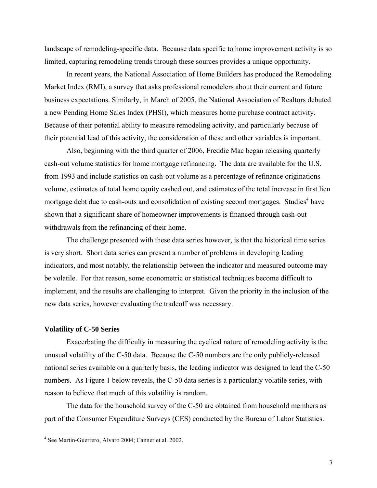landscape of remodeling-specific data. Because data specific to home improvement activity is so limited, capturing remodeling trends through these sources provides a unique opportunity.

In recent years, the National Association of Home Builders has produced the Remodeling Market Index (RMI), a survey that asks professional remodelers about their current and future business expectations. Similarly, in March of 2005, the National Association of Realtors debuted a new Pending Home Sales Index (PHSI), which measures home purchase contract activity. Because of their potential ability to measure remodeling activity, and particularly because of their potential lead of this activity, the consideration of these and other variables is important.

Also, beginning with the third quarter of 2006, Freddie Mac began releasing quarterly cash-out volume statistics for home mortgage refinancing. The data are available for the U.S. from 1993 and include statistics on cash-out volume as a percentage of refinance originations volume, estimates of total home equity cashed out, and estimates of the total increase in first lien mortgage debt due to cash-outs and consolidation of existing second mortgages. Studies<sup>4</sup> have shown that a significant share of homeowner improvements is financed through cash-out withdrawals from the refinancing of their home.

The challenge presented with these data series however, is that the historical time series is very short. Short data series can present a number of problems in developing leading indicators, and most notably, the relationship between the indicator and measured outcome may be volatile. For that reason, some econometric or statistical techniques become difficult to implement, and the results are challenging to interpret. Given the priority in the inclusion of the new data series, however evaluating the tradeoff was necessary.

### **Volatility of C-50 Series**

<u>.</u>

Exacerbating the difficulty in measuring the cyclical nature of remodeling activity is the unusual volatility of the C-50 data. Because the C-50 numbers are the only publicly-released national series available on a quarterly basis, the leading indicator was designed to lead the C-50 numbers. As Figure 1 below reveals, the C-50 data series is a particularly volatile series, with reason to believe that much of this volatility is random.

The data for the household survey of the C-50 are obtained from household members as part of the Consumer Expenditure Surveys (CES) conducted by the Bureau of Labor Statistics.

<sup>4</sup> See Martin-Guerrero, Alvaro 2004; Canner et al. 2002.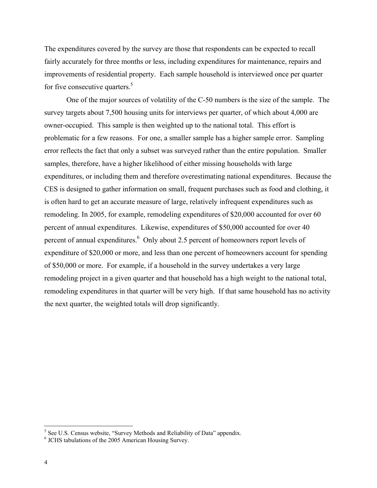The expenditures covered by the survey are those that respondents can be expected to recall fairly accurately for three months or less, including expenditures for maintenance, repairs and improvements of residential property. Each sample household is interviewed once per quarter for five consecutive quarters.<sup>5</sup>

One of the major sources of volatility of the C-50 numbers is the size of the sample. The survey targets about 7,500 housing units for interviews per quarter, of which about 4,000 are owner-occupied. This sample is then weighted up to the national total. This effort is problematic for a few reasons. For one, a smaller sample has a higher sample error. Sampling error reflects the fact that only a subset was surveyed rather than the entire population. Smaller samples, therefore, have a higher likelihood of either missing households with large expenditures, or including them and therefore overestimating national expenditures. Because the CES is designed to gather information on small, frequent purchases such as food and clothing, it is often hard to get an accurate measure of large, relatively infrequent expenditures such as remodeling. In 2005, for example, remodeling expenditures of \$20,000 accounted for over 60 percent of annual expenditures. Likewise, expenditures of \$50,000 accounted for over 40 percent of annual expenditures. $6$  Only about 2.5 percent of homeowners report levels of expenditure of \$20,000 or more, and less than one percent of homeowners account for spending of \$50,000 or more. For example, if a household in the survey undertakes a very large remodeling project in a given quarter and that household has a high weight to the national total, remodeling expenditures in that quarter will be very high. If that same household has no activity the next quarter, the weighted totals will drop significantly.

<sup>&</sup>lt;sup>5</sup> See U.S. Census website, "Survey Methods and Reliability of Data" appendix.

<sup>6</sup> JCHS tabulations of the 2005 American Housing Survey.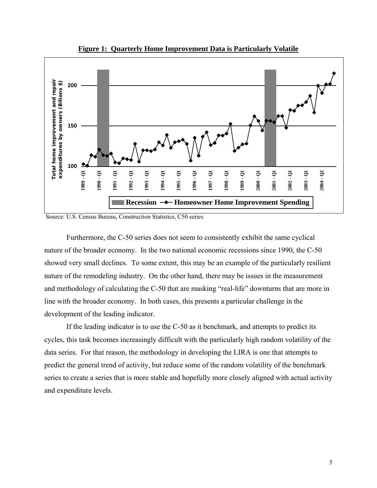

**Figure 1: Quarterly Home Improvement Data is Particularly Volatile**

Source: U.S. Census Bureau, Construction Statistics, C50 series

Furthermore, the C-50 series does not seem to consistently exhibit the same cyclical nature of the broader economy. In the two national economic recessions since 1990, the C-50 showed very small declines. To some extent, this may be an example of the particularly resilient nature of the remodeling industry. On the other hand, there may be issues in the measurement and methodology of calculating the C-50 that are masking "real-life" downturns that are more in line with the broader economy. In both cases, this presents a particular challenge in the development of the leading indicator.

If the leading indicator is to use the C-50 as it benchmark, and attempts to predict its cycles, this task becomes increasingly difficult with the particularly high random volatility of the data series. For that reason, the methodology in developing the LIRA is one that attempts to predict the general trend of activity, but reduce some of the random volatility of the benchmark series to create a series that is more stable and hopefully more closely aligned with actual activity and expenditure levels.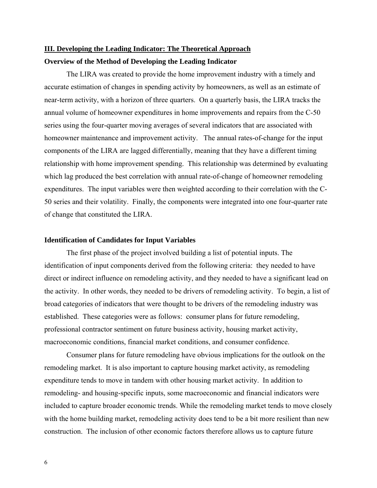# **III. Developing the Leading Indicator: The Theoretical Approach Overview of the Method of Developing the Leading Indicator**

The LIRA was created to provide the home improvement industry with a timely and accurate estimation of changes in spending activity by homeowners, as well as an estimate of near-term activity, with a horizon of three quarters. On a quarterly basis, the LIRA tracks the annual volume of homeowner expenditures in home improvements and repairs from the C-50 series using the four-quarter moving averages of several indicators that are associated with homeowner maintenance and improvement activity. The annual rates-of-change for the input components of the LIRA are lagged differentially, meaning that they have a different timing relationship with home improvement spending. This relationship was determined by evaluating which lag produced the best correlation with annual rate-of-change of homeowner remodeling expenditures. The input variables were then weighted according to their correlation with the C-50 series and their volatility. Finally, the components were integrated into one four-quarter rate of change that constituted the LIRA.

### **Identification of Candidates for Input Variables**

The first phase of the project involved building a list of potential inputs. The identification of input components derived from the following criteria: they needed to have direct or indirect influence on remodeling activity, and they needed to have a significant lead on the activity. In other words, they needed to be drivers of remodeling activity. To begin, a list of broad categories of indicators that were thought to be drivers of the remodeling industry was established. These categories were as follows: consumer plans for future remodeling, professional contractor sentiment on future business activity, housing market activity, macroeconomic conditions, financial market conditions, and consumer confidence.

Consumer plans for future remodeling have obvious implications for the outlook on the remodeling market. It is also important to capture housing market activity, as remodeling expenditure tends to move in tandem with other housing market activity. In addition to remodeling- and housing-specific inputs, some macroeconomic and financial indicators were included to capture broader economic trends. While the remodeling market tends to move closely with the home building market, remodeling activity does tend to be a bit more resilient than new construction. The inclusion of other economic factors therefore allows us to capture future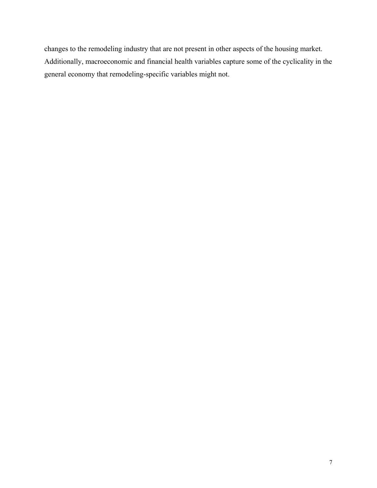changes to the remodeling industry that are not present in other aspects of the housing market. Additionally, macroeconomic and financial health variables capture some of the cyclicality in the general economy that remodeling-specific variables might not.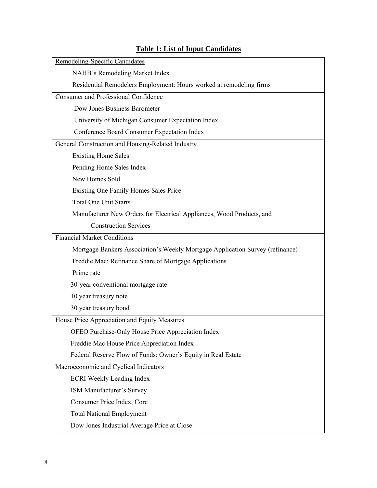# Remodeling-Specific Candidates NAHB's Remodeling Market Index Residential Remodelers Employment: Hours worked at remodeling firms Consumer and Professional Confidence Dow Jones Business Barometer University of Michigan Consumer Expectation Index Conference Board Consumer Expectation Index General Construction and Housing-Related Industry Existing Home Sales Pending Home Sales Index New Homes Sold Existing One Family Homes Sales Price Total One Unit Starts Manufacturer New Orders for Electrical Appliances, Wood Products, and Construction Services Financial Market Conditions Mortgage Bankers Association's Weekly Mortgage Application Survey (refinance) Freddie Mac: Refinance Share of Mortgage Applications Prime rate 30-year conventional mortgage rate 10 year treasury note 30 year treasury bond House Price Appreciation and Equity Measures OFEO Purchase-Only House Price Appreciation Index Freddie Mac House Price Appreciation Index Federal Reserve Flow of Funds: Owner's Equity in Real Estate Macroeconomic and Cyclical Indicators ECRI Weekly Leading Index ISM Manufacturer's Survey Consumer Price Index, Core Total National Employment Dow Jones Industrial Average Price at Close

### **Table 1: List of Input Candidates**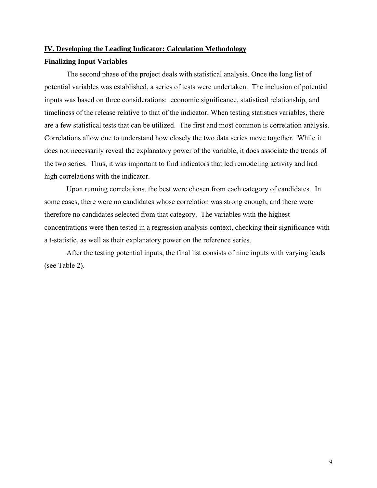### **IV. Developing the Leading Indicator: Calculation Methodology**

### **Finalizing Input Variables**

The second phase of the project deals with statistical analysis. Once the long list of potential variables was established, a series of tests were undertaken. The inclusion of potential inputs was based on three considerations: economic significance, statistical relationship, and timeliness of the release relative to that of the indicator. When testing statistics variables, there are a few statistical tests that can be utilized. The first and most common is correlation analysis. Correlations allow one to understand how closely the two data series move together. While it does not necessarily reveal the explanatory power of the variable, it does associate the trends of the two series. Thus, it was important to find indicators that led remodeling activity and had high correlations with the indicator.

Upon running correlations, the best were chosen from each category of candidates. In some cases, there were no candidates whose correlation was strong enough, and there were therefore no candidates selected from that category. The variables with the highest concentrations were then tested in a regression analysis context, checking their significance with a t-statistic, as well as their explanatory power on the reference series.

After the testing potential inputs, the final list consists of nine inputs with varying leads (see Table 2).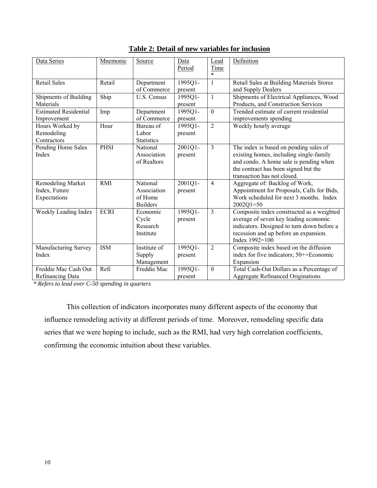| Data Series                  | Mnemonic    | Source            | Data    | Lead             | Definition                                 |
|------------------------------|-------------|-------------------|---------|------------------|--------------------------------------------|
|                              |             |                   | Period  | <b>Time</b>      |                                            |
|                              |             |                   |         |                  |                                            |
| <b>Retail Sales</b>          | Retail      | Department        | 1995Q1- | 1                | Retail Sales at Building Materials Stores  |
|                              |             | of Commerce       | present |                  | and Supply Dealers                         |
| Shipments of Building        | Ship        | U.S. Census       | 1995Q1- | 1                | Shipments of Electrical Appliances, Wood   |
| Materials                    |             |                   | present |                  | Products, and Construction Services        |
| <b>Estimated Residential</b> | Imp         | Department        | 1995Q1- | $\boldsymbol{0}$ | Trended estimate of current residential    |
| Improvement                  |             | of Commerce       | present |                  | improvements spending                      |
| Hours Worked by              | Hour        | Bureau of         | 1995Q1- | $\overline{2}$   | Weekly hourly average                      |
| Remodeling                   |             | Labor             | present |                  |                                            |
| Contractors                  |             | <b>Statistics</b> |         |                  |                                            |
| Pending Home Sales           | <b>PHSI</b> | National          | 2001Q1- | 3                | The index is based on pending sales of     |
| Index                        |             | Association       | present |                  | existing homes, including single-family    |
|                              |             | of Realtors       |         |                  | and condo. A home sale is pending when     |
|                              |             |                   |         |                  | the contract has been signed but the       |
|                              |             |                   |         |                  | transaction has not closed.                |
| <b>Remodeling Market</b>     | <b>RMI</b>  | National          | 2001Q1- | $\overline{4}$   | Aggregate of: Backlog of Work,             |
| Index, Future                |             | Association       | present |                  | Appointment for Proposals, Calls for Bids, |
| Expectations                 |             | of Home           |         |                  | Work scheduled for next 3 months. Index    |
|                              |             | <b>Builders</b>   |         |                  | $2002Q1 = 50$                              |
| Weekly Leading Index         | <b>ECRI</b> | Economic          | 1995Q1- | 3                | Composite index constructed as a weighted  |
|                              |             | Cycle             | present |                  | average of seven key leading economic      |
|                              |             | Research          |         |                  | indicators. Designed to turn down before a |
|                              |             | Institute         |         |                  | recession and up before an expansion.      |
|                              |             |                   |         |                  | Index 1992=100                             |
| Manufacturing Survey         | <b>ISM</b>  | Institute of      | 1995Q1- | $\overline{c}$   | Composite index based on the diffusion     |
| Index                        |             | Supply            | present |                  | index for five indicators; 50+=Economic    |
|                              |             | Management        |         |                  | Expansion                                  |
| Freddie Mac Cash Out         | Refi        | Freddie Mac       | 1995Q1- | $\boldsymbol{0}$ | Total Cash-Out Dollars as a Percentage of  |
| Refinancing Data             |             |                   | present |                  | <b>Aggregate Refinanced Originations</b>   |

|  | Table 2: Detail of new variables for inclusion |  |  |  |  |
|--|------------------------------------------------|--|--|--|--|
|--|------------------------------------------------|--|--|--|--|

*\* Refers to lead over C-50 spending in quarters* 

This collection of indicators incorporates many different aspects of the economy that influence remodeling activity at different periods of time. Moreover, remodeling specific data series that we were hoping to include, such as the RMI, had very high correlation coefficients, confirming the economic intuition about these variables.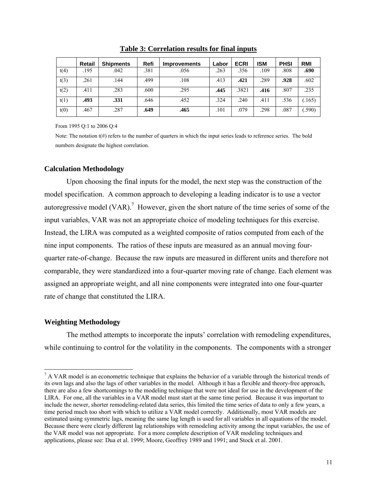|      | <b>Retail</b> | <b>Shipments</b> | Refi | <b>Improvements</b> | Labor | <b>ECRI</b> | <b>ISM</b> | <b>PHSI</b> | <b>RMI</b> |
|------|---------------|------------------|------|---------------------|-------|-------------|------------|-------------|------------|
| t(4) | .195          | .042             | .381 | .056                | .263  | .356        | .109       | .808        | .690       |
| t(3) | .261          | .144             | .499 | .108                | .413  | .421        | .289       | .928        | .602       |
| t(2) | .411          | .283             | .600 | .295                | .445  | .3821       | .416       | .807        | .235       |
| t(1) | .493          | .331             | .646 | .452                | .324  | .240        | .411       | .536        | (.165)     |
| t(0) | .467          | .287             | .649 | .465                | .101  | .079        | .298       | .087        | (.590)     |

**Table 3: Correlation results for final inputs**

From 1995 Q:1 to 2006 Q:4

Note: The notation  $t(\#)$  refers to the number of quarters in which the input series leads to reference series. The bold numbers designate the highest correlation.

### **Calculation Methodology**

Upon choosing the final inputs for the model, the next step was the construction of the model specification. A common approach to developing a leading indicator is to use a vector autoregressive model  $(VAR)$ .<sup>7</sup> However, given the short nature of the time series of some of the input variables, VAR was not an appropriate choice of modeling techniques for this exercise. Instead, the LIRA was computed as a weighted composite of ratios computed from each of the nine input components. The ratios of these inputs are measured as an annual moving fourquarter rate-of-change. Because the raw inputs are measured in different units and therefore not comparable, they were standardized into a four-quarter moving rate of change. Each element was assigned an appropriate weight, and all nine components were integrated into one four-quarter rate of change that constituted the LIRA.

#### **Weighting Methodology**

 $\overline{a}$ 

The method attempts to incorporate the inputs' correlation with remodeling expenditures, while continuing to control for the volatility in the components. The components with a stronger

 $<sup>7</sup>$  A VAR model is an econometric technique that explains the behavior of a variable through the historical trends of</sup> its own lags and also the lags of other variables in the model. Although it has a flexible and theory-free approach, there are also a few shortcomings to the modeling technique that were not ideal for use in the development of the LIRA. For one, all the variables in a VAR model must start at the same time period. Because it was important to include the newer, shorter remodeling-related data series, this limited the time series of data to only a few years, a time period much too short with which to utilize a VAR model correctly. Additionally, most VAR models are estimated using symmetric lags, meaning the same lag length is used for all variables in all equations of the model. Because there were clearly different lag relationships with remodeling activity among the input variables, the use of the VAR model was not appropriate. For a more complete description of VAR modeling techniques and applications, please see: Dua et al. 1999; Moore, Geoffrey 1989 and 1991; and Stock et al. 2001.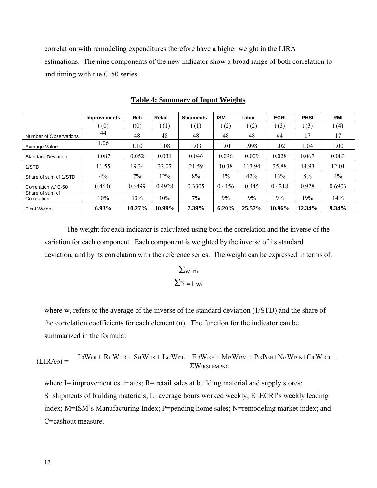correlation with remodeling expenditures therefore have a higher weight in the LIRA estimations. The nine components of the new indicator show a broad range of both correlation to and timing with the C-50 series.

|                                | <b>Improvements</b> | Refi   | Retail | <b>Shipments</b> | <b>ISM</b> | Labor  | <b>ECRI</b> | <b>PHSI</b> | RMI      |
|--------------------------------|---------------------|--------|--------|------------------|------------|--------|-------------|-------------|----------|
|                                | t(0)                | t(0)   | t(1)   | t(1)             | t(2)       | t(2)   | t(3)        | t(3)        | t(4)     |
| Number of Observations         | 44                  | 48     | 48     | 48               | 48         | 48     | 44          | 17          | 17       |
| Average Value                  | 1.06                | 1.10   | 1.08   | 1.03             | 1.01       | .998   | 1.02        | 1.04        | 1.00     |
| <b>Standard Deviation</b>      | 0.087               | 0.052  | 0.031  | 0.046            | 0.096      | 0.009  | 0.028       | 0.067       | 0.083    |
| 1/STD                          | 11.55               | 19.34  | 32.07  | 21.59            | 10.38      | 113.94 | 35.88       | 14.93       | 12.01    |
| Share of sum of 1/STD          | $4\%$               | $7\%$  | 12%    | 8%               | $4\%$      | 42%    | 13%         | $5\%$       | $4\%$    |
| Correlation w/ C-50            | 0.4646              | 0.6499 | 0.4928 | 0.3305           | 0.4156     | 0.445  | 0.4218      | 0.928       | 0.6903   |
| Share of sum of<br>Correlation | 10%                 | 13%    | 10%    | $7\%$            | 9%         | 9%     | 9%          | 19%         | 14%      |
| <b>Final Weight</b>            | 6.93%               | 10.27% | 10.99% | 7.39%            | 6.20%      | 25.57% | 10.96%      | 12.34%      | $9.34\%$ |

#### **Table 4: Summary of Input Weights**

The weight for each indicator is calculated using both the correlation and the inverse of the variation for each component. Each component is weighted by the inverse of its standard deviation, and by its correlation with the reference series. The weight can be expressed in terms of:

$$
\frac{\sum_{wi\,ni}}{\sum_{^ni}=1\,\,w_i}
$$

where w, refers to the average of the inverse of the standard deviation (1/STD) and the share of the correlation coefficients for each element (n). The function for the indicator can be summarized in the formula:

$$
(LIRAt0) = \frac{It0Wt0I + Rt1Wt1R + St1Wt1S + Lt2Wt2L + Et3Wt3E + Mt3Wt3M + Pt3Pt3H + Nt3Wt3N + Ct0Wt30}{\Sigma}WIRSLEMPNC
$$

where  $I =$  improvement estimates;  $R =$  retail sales at building material and supply stores; S=shipments of building materials; L=average hours worked weekly; E=ECRI's weekly leading index; M=ISM's Manufacturing Index; P=pending home sales; N=remodeling market index; and C=cashout measure.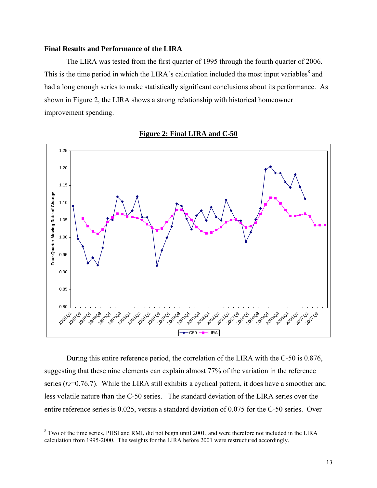### **Final Results and Performance of the LIRA**

The LIRA was tested from the first quarter of 1995 through the fourth quarter of 2006. This is the time period in which the LIRA's calculation included the most input variables $^8$  and had a long enough series to make statistically significant conclusions about its performance. As shown in Figure 2, the LIRA shows a strong relationship with historical homeowner improvement spending.



**Figure 2: Final LIRA and C-50**

During this entire reference period, the correlation of the LIRA with the C-50 is 0.876, suggesting that these nine elements can explain almost 77% of the variation in the reference series (*r2*=0.76.7). While the LIRA still exhibits a cyclical pattern, it does have a smoother and less volatile nature than the C-50 series. The standard deviation of the LIRA series over the entire reference series is 0.025, versus a standard deviation of 0.075 for the C-50 series. Over

<sup>&</sup>lt;sup>8</sup> Two of the time series, PHSI and RMI, did not begin until 2001, and were therefore not included in the LIRA calculation from 1995-2000. The weights for the LIRA before 2001 were restructured accordingly.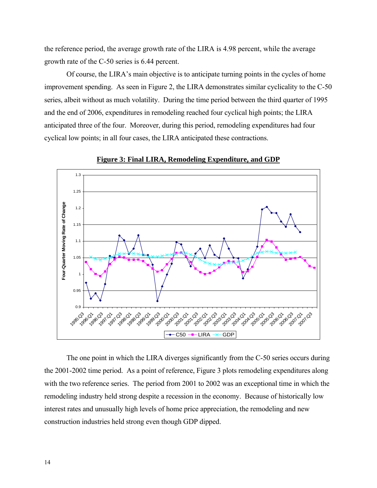the reference period, the average growth rate of the LIRA is 4.98 percent, while the average growth rate of the C-50 series is 6.44 percent.

Of course, the LIRA's main objective is to anticipate turning points in the cycles of home improvement spending. As seen in Figure 2, the LIRA demonstrates similar cyclicality to the C-50 series, albeit without as much volatility. During the time period between the third quarter of 1995 and the end of 2006, expenditures in remodeling reached four cyclical high points; the LIRA anticipated three of the four. Moreover, during this period, remodeling expenditures had four cyclical low points; in all four cases, the LIRA anticipated these contractions.



**Figure 3: Final LIRA, Remodeling Expenditure, and GDP**

The one point in which the LIRA diverges significantly from the C-50 series occurs during the 2001-2002 time period. As a point of reference, Figure 3 plots remodeling expenditures along with the two reference series. The period from 2001 to 2002 was an exceptional time in which the remodeling industry held strong despite a recession in the economy. Because of historically low interest rates and unusually high levels of home price appreciation, the remodeling and new construction industries held strong even though GDP dipped.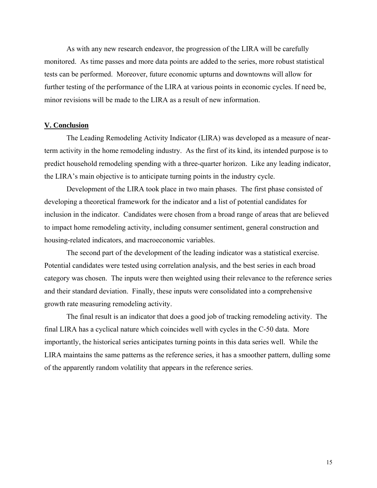As with any new research endeavor, the progression of the LIRA will be carefully monitored. As time passes and more data points are added to the series, more robust statistical tests can be performed. Moreover, future economic upturns and downtowns will allow for further testing of the performance of the LIRA at various points in economic cycles. If need be, minor revisions will be made to the LIRA as a result of new information.

### **V. Conclusion**

The Leading Remodeling Activity Indicator (LIRA) was developed as a measure of nearterm activity in the home remodeling industry. As the first of its kind, its intended purpose is to predict household remodeling spending with a three-quarter horizon. Like any leading indicator, the LIRA's main objective is to anticipate turning points in the industry cycle.

Development of the LIRA took place in two main phases. The first phase consisted of developing a theoretical framework for the indicator and a list of potential candidates for inclusion in the indicator. Candidates were chosen from a broad range of areas that are believed to impact home remodeling activity, including consumer sentiment, general construction and housing-related indicators, and macroeconomic variables.

The second part of the development of the leading indicator was a statistical exercise. Potential candidates were tested using correlation analysis, and the best series in each broad category was chosen. The inputs were then weighted using their relevance to the reference series and their standard deviation. Finally, these inputs were consolidated into a comprehensive growth rate measuring remodeling activity.

The final result is an indicator that does a good job of tracking remodeling activity. The final LIRA has a cyclical nature which coincides well with cycles in the C-50 data. More importantly, the historical series anticipates turning points in this data series well. While the LIRA maintains the same patterns as the reference series, it has a smoother pattern, dulling some of the apparently random volatility that appears in the reference series.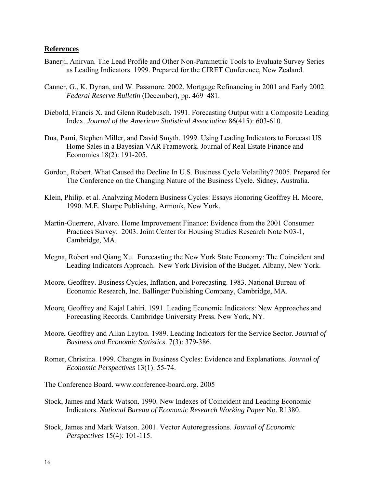### **References**

- Banerji, Anirvan. The Lead Profile and Other Non-Parametric Tools to Evaluate Survey Series as Leading Indicators. 1999. Prepared for the CIRET Conference, New Zealand.
- Canner, G., K. Dynan, and W. Passmore. 2002. Mortgage Refinancing in 2001 and Early 2002. *Federal Reserve Bulletin* (December), pp. 469–481.
- Diebold, Francis X. and Glenn Rudebusch. 1991. Forecasting Output with a Composite Leading Index. *Journal of the American Statistical Association* 86(415): 603-610.
- Dua, Pami, Stephen Miller, and David Smyth. 1999. Using Leading Indicators to Forecast US Home Sales in a Bayesian VAR Framework. Journal of Real Estate Finance and Economics 18(2): 191-205.
- Gordon, Robert. What Caused the Decline In U.S. Business Cycle Volatility? 2005. Prepared for The Conference on the Changing Nature of the Business Cycle. Sidney, Australia.
- Klein, Philip. et al. Analyzing Modern Business Cycles: Essays Honoring Geoffrey H. Moore, 1990. M.E. Sharpe Publishing, Armonk, New York.
- Martin-Guerrero, Alvaro. Home Improvement Finance: Evidence from the 2001 Consumer Practices Survey. 2003. Joint Center for Housing Studies Research Note N03-1, Cambridge, MA.
- Megna, Robert and Qiang Xu. Forecasting the New York State Economy: The Coincident and Leading Indicators Approach. New York Division of the Budget. Albany, New York.
- Moore, Geoffrey. Business Cycles, Inflation, and Forecasting. 1983. National Bureau of Economic Research, Inc. Ballinger Publishing Company, Cambridge, MA.
- Moore, Geoffrey and Kajal Lahiri. 1991. Leading Economic Indicators: New Approaches and Forecasting Records. Cambridge University Press. New York, NY.
- Moore, Geoffrey and Allan Layton. 1989. Leading Indicators for the Service Sector. *Journal of Business and Economic Statistics*. 7(3): 379-386.
- Romer, Christina. 1999. Changes in Business Cycles: Evidence and Explanations. *Journal of Economic Perspectives* 13(1): 55-74.
- The Conference Board. www.conference-board.org. 2005
- Stock, James and Mark Watson. 1990. New Indexes of Coincident and Leading Economic Indicators. *National Bureau of Economic Research Working Paper* No. R1380.
- Stock, James and Mark Watson. 2001. Vector Autoregressions. *Journal of Economic Perspectives* 15(4): 101-115.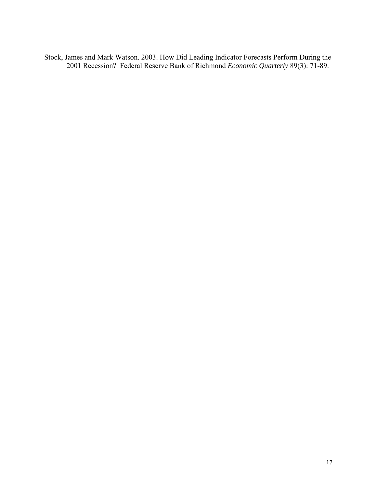Stock, James and Mark Watson. 2003. How Did Leading Indicator Forecasts Perform During the 2001 Recession? Federal Reserve Bank of Richmond *Economic Quarterly* 89(3): 71-89.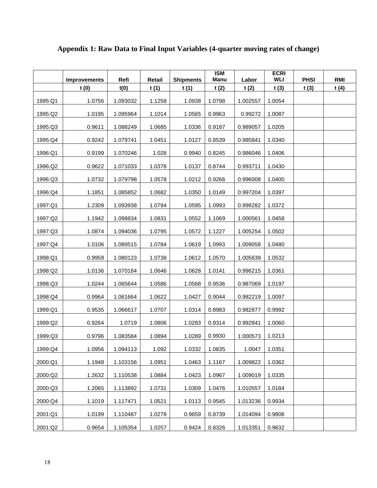|         | <b>Improvements</b> | Refi     | Retail | <b>Shipments</b> | <b>ISM</b><br>Manu | Labor    | <b>ECRI</b><br><b>WLI</b> | <b>PHSI</b> | <b>RMI</b> |
|---------|---------------------|----------|--------|------------------|--------------------|----------|---------------------------|-------------|------------|
|         | t(0)                | t(0)     | t(1)   | t(1)             | t(2)               | t(2)     | t(3)                      | t(3)        | t(4)       |
| 1995:Q1 | 1.0756              | 1.093032 | 1.1258 | 1.0938           | 1.0798             | 1.002557 | 1.0054                    |             |            |
| 1995:Q2 | 1.0195              | 1.095964 | 1.1014 | 1.0565           | 0.9963             | 0.99272  | 1.0087                    |             |            |
| 1995:Q3 | 0.9611              | 1.088249 | 1.0685 | 1.0336           | 0.9187             | 0.989057 | 1.0205                    |             |            |
| 1995:Q4 | 0.9242              | 1.079741 | 1.0451 | 1.0127           | 0.8539             | 0.985841 | 1.0340                    |             |            |
| 1996:Q1 | 0.9199              | 1.070246 | 1.028  | 0.9940           | 0.8245             | 0.986046 | 1.0406                    |             |            |
| 1996:Q2 | 0.9622              | 1.071033 | 1.0378 | 1.0137           | 0.8744             | 0.993711 | 1.0430                    |             |            |
| 1996:Q3 | 1.0732              | 1.079798 | 1.0578 | 1.0212           | 0.9266             | 0.996008 | 1.0400                    |             |            |
| 1996:Q4 | 1.1851              | 1.085852 | 1.0682 | 1.0350           | 1.0149             | 0.997204 | 1.0397                    |             |            |
| 1997:Q1 | 1.2309              | 1.093938 | 1.0794 | 1.0595           | 1.0993             | 0.999282 | 1.0372                    |             |            |
| 1997:Q2 | 1.1942              | 1.098834 | 1.0831 | 1.0552           | 1.1069             | 1.000561 | 1.0458                    |             |            |
| 1997:Q3 | 1.0874              | 1.094036 | 1.0795 | 1.0572           | 1.1227             | 1.005254 | 1.0502                    |             |            |
| 1997:Q4 | 1.0106              | 1.089515 | 1.0784 | 1.0619           | 1.0993             | 1.009058 | 1.0480                    |             |            |
| 1998:Q1 | 0.9959              | 1.080123 | 1.0738 | 1.0612           | 1.0570             | 1.005639 | 1.0532                    |             |            |
| 1998:Q2 | 1.0136              | 1.070184 | 1.0646 | 1.0628           | 1.0141             | 0.996215 | 1.0361                    |             |            |
| 1998:Q3 | 1.0244              | 1.065644 | 1.0586 | 1.0568           | 0.9536             | 0.987069 | 1.0197                    |             |            |
| 1998:Q4 | 0.9964              | 1.061664 | 1.0622 | 1.0427           | 0.9044             | 0.982219 | 1.0097                    |             |            |
| 1999:Q1 | 0.9535              | 1.066617 | 1.0707 | 1.0314           | 0.8983             | 0.982877 | 0.9992                    |             |            |
| 1999:Q2 | 0.9264              | 1.0719   | 1.0806 | 1.0283           | 0.9314             | 0.992841 | 1.0060                    |             |            |
| 1999:Q3 | 0.9796              | 1.083584 | 1.0894 | 1.0289           | 0.9930             | 1.000573 | 1.0213                    |             |            |
| 1999:Q4 | 1.0956              | 1.094113 | 1.092  | 1.0332           | 1.0835             | 1.0047   | 1.0351                    |             |            |
| 2000:Q1 | 1.1948              | 1.103156 | 1.0951 | 1.0463           | 1.1167             | 1.009822 | 1.0362                    |             |            |
| 2000:Q2 | 1.2632              | 1.110538 | 1.0884 | 1.0423           | 1.0967             | 1.009019 | 1.0335                    |             |            |
| 2000:Q3 | 1.2065              | 1.113892 | 1.0731 | 1.0309           | 1.0476             | 1.010557 | 1.0184                    |             |            |
| 2000:Q4 | 1.1019              | 1.117471 | 1.0521 | 1.0113           | 0.9545             | 1.013236 | 0.9934                    |             |            |
| 2001:Q1 | 1.0199              | 1.110487 | 1.0278 | 0.9659           | 0.8739             | 1.014094 | 0.9806                    |             |            |
| 2001:Q2 | 0.9654              | 1.105354 | 1.0257 | 0.9424           | 0.8326             | 1.013351 | 0.9632                    |             |            |

# **Appendix 1: Raw Data to Final Input Variables (4-quarter moving rates of change)**